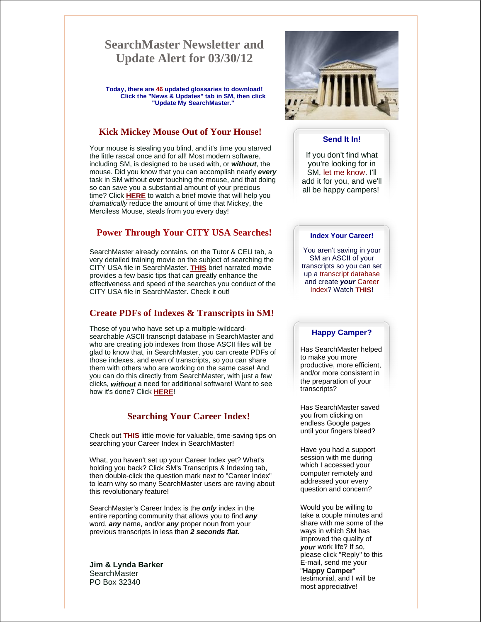# **SearchMaster Newsletter and Update Alert for 03/30/12**

**Today, there are 46 updated glossaries to download! Click the "News & Updates" tab in SM, then click "Update My SearchMaster."**

## **Kick Mickey Mouse Out of Your House!**

Your mouse is stealing you blind, and it's time you starved the little rascal once and for all! Most modern software, including SM, is designed to be used with, or *without*, the mouse. Did you know that you can accomplish nearly *every* task in SM without *ever* touching the mouse, and that doing so can save you a substantial amount of your precious time? Click **HERE** to watch a brief movie that will help you *dramatically* reduce the amount of time that Mickey, the Merciless Mouse, steals from you every day!

# **Power Through Your CITY USA Searches!**

SearchMaster already contains, on the Tutor & CEU tab, a very detailed training movie on the subject of searching the CITY USA file in SearchMaster. **THIS** brief narrated movie provides a few basic tips that can greatly enhance the effectiveness and speed of the searches you conduct of the CITY USA file in SearchMaster. Check it out!

## **Create PDFs of Indexes & Transcripts in SM!**

Those of you who have set up a multiple-wildcardsearchable ASCII transcript database in SearchMaster and who are creating job indexes from those ASCII files will be glad to know that, in SearchMaster, you can create PDFs of those indexes, and even of transcripts, so you can share them with others who are working on the same case! And you can do this directly from SearchMaster, with just a few clicks, *without* a need for additional software! Want to see how it's done? Click **HERE**!

#### **Searching Your Career Index!**

Check out **THIS** little movie for valuable, time-saving tips on searching your Career Index in SearchMaster!

What, you haven't set up your Career Index yet? What's holding you back? Click SM's Transcripts & Indexing tab, then double-click the question mark next to "Career Index" to learn why so many SearchMaster users are raving about this revolutionary feature!

SearchMaster's Career Index is the *only* index in the entire reporting community that allows you to find *any* word, *any* name, and/or *any* proper noun from your previous transcripts in less than *2 seconds flat.*

**Jim & Lynda Barker SearchMaster** PO Box 32340



#### **Send It In!**

If you don't find what you're looking for in SM, let me know. I'll add it for you, and we'll all be happy campers!

#### **Index Your Career!**

You aren't saving in your SM an ASCII of your transcripts so you can set up a transcript database and create *your* Career Index? Watch **THIS**!

## **Happy Camper?**

Has SearchMaster helped to make you more productive, more efficient, and/or more consistent in the preparation of your transcripts?

Has SearchMaster saved you from clicking on endless Google pages until your fingers bleed?

Have you had a support session with me during which I accessed your computer remotely and addressed your every question and concern?

Would you be willing to take a couple minutes and share with me some of the ways in which SM has improved the quality of *your* work life? If so, please click "Reply" to this E-mail, send me your "**Happy Camper**" testimonial, and I will be most appreciative!